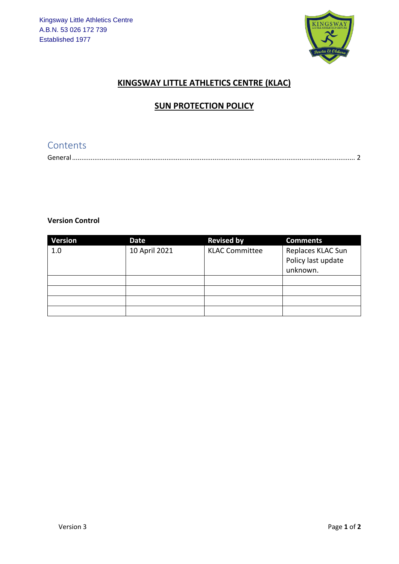

## **KINGSWAY LITTLE ATHLETICS CENTRE (KLAC)**

## **SUN PROTECTION POLICY**

# Contents

| $\sim$ $\sim$ $\sim$ |  |
|----------------------|--|

#### **Version Control**

| <b>Version</b> | Date          | <b>Revised by</b>     | <b>Comments</b>                                     |
|----------------|---------------|-----------------------|-----------------------------------------------------|
| 1.0            | 10 April 2021 | <b>KLAC Committee</b> | Replaces KLAC Sun<br>Policy last update<br>unknown. |
|                |               |                       |                                                     |
|                |               |                       |                                                     |
|                |               |                       |                                                     |
|                |               |                       |                                                     |